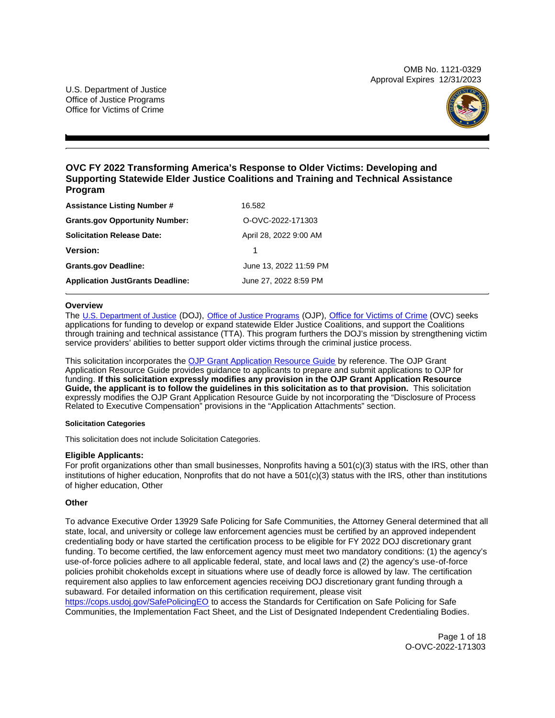OMB No. 1121-0329 Approval Expires 12/31/2023

U.S. Department of Justice Office of Justice Programs Office for Victims of Crime



## **OVC FY 2022 Transforming America's Response to Older Victims: Developing and Supporting Statewide Elder Justice Coalitions and Training and Technical Assistance Program**

| <b>Assistance Listing Number #</b>      | 16.582                 |
|-----------------------------------------|------------------------|
| <b>Grants.gov Opportunity Number:</b>   | O-OVC-2022-171303      |
| <b>Solicitation Release Date:</b>       | April 28, 2022 9:00 AM |
| <b>Version:</b>                         |                        |
| <b>Grants.gov Deadline:</b>             | June 13, 2022 11:59 PM |
| <b>Application JustGrants Deadline:</b> | June 27, 2022 8:59 PM  |

## **Overview**

The [U.S. Department of Justice](https://www.usdoj.gov/) (DOJ), [Office of Justice Programs](https://www.ojp.usdoj.gov/) (OJP), [Office for Victims of Crime](https://ovc.ojp.gov/) (OVC) seeks applications for funding to develop or expand statewide Elder Justice Coalitions, and support the Coalitions through training and technical assistance (TTA). This program furthers the DOJ's mission by strengthening victim service providers' abilities to better support older victims through the criminal justice process.

This solicitation incorporates the [OJP Grant Application Resource Guide](https://www.ojp.gov/funding/Apply/Resources/Grant-App-Resource-Guide.htm) by reference. The OJP Grant Application Resource Guide provides guidance to applicants to prepare and submit applications to OJP for funding. **If this solicitation expressly modifies any provision in the OJP Grant Application Resource Guide, the applicant is to follow the guidelines in this solicitation as to that provision.**  This solicitation expressly modifies the OJP Grant Application Resource Guide by not incorporating the "Disclosure of Process Related to Executive Compensation" provisions in the "Application Attachments" section.

#### **Solicitation Categories**

This solicitation does not include Solicitation Categories.

## **Eligible Applicants:**

For profit organizations other than small businesses, Nonprofits having a 501(c)(3) status with the IRS, other than institutions of higher education, Nonprofits that do not have a 501(c)(3) status with the IRS, other than institutions of higher education, Other

## **Other**

To advance Executive Order 13929 Safe Policing for Safe Communities, the Attorney General determined that all state, local, and university or college law enforcement agencies must be certified by an approved independent credentialing body or have started the certification process to be eligible for FY 2022 DOJ discretionary grant funding. To become certified, the law enforcement agency must meet two mandatory conditions: (1) the agency's use-of-force policies adhere to all applicable federal, state, and local laws and (2) the agency's use-of-force policies prohibit chokeholds except in situations where use of deadly force is allowed by law. The certification requirement also applies to law enforcement agencies receiving DOJ discretionary grant funding through a subaward. For detailed information on this certification requirement, please visit

[https://cops.usdoj.gov/SafePolicingEO](https://cops.usdoj.gov/SafePolicingEO%20) to access the Standards for Certification on Safe Policing for Safe Communities, the Implementation Fact Sheet, and the List of Designated Independent Credentialing Bodies.

> Page 1 of 18 O-OVC-2022-171303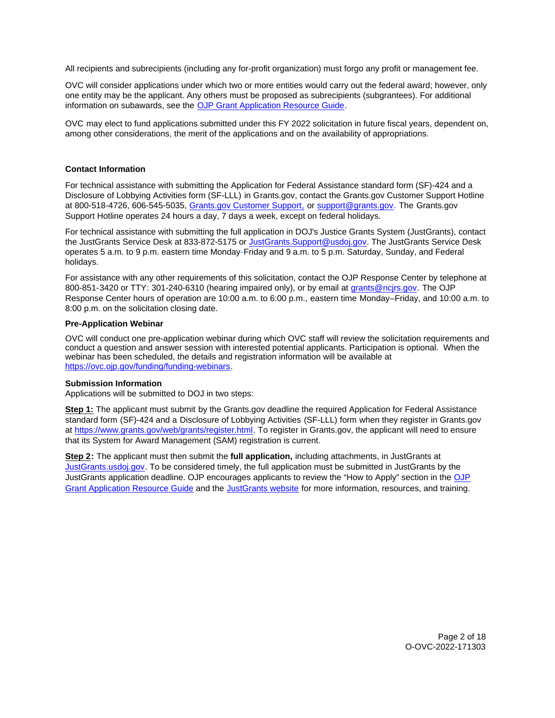<span id="page-1-0"></span>All recipients and subrecipients (including any for-profit organization) must forgo any profit or management fee.

OVC will consider applications under which two or more entities would carry out the federal award; however, only one entity may be the applicant. Any others must be proposed as subrecipients (subgrantees). For additional information on subawards, see the [OJP Grant Application Resource Guide.](https://www.ojp.gov/funding/Apply/Resources/Grant-App-Resource-Guide.htm)

OVC may elect to fund applications submitted under this FY 2022 solicitation in future fiscal years, dependent on, among other considerations, the merit of the applications and on the availability of appropriations.

## **Contact Information**

For technical assistance with submitting the Application for Federal Assistance standard form (SF)-424 and a Disclosure of Lobbying Activities form (SF-LLL) in [Grants.gov](https://Grants.gov), contact the [Grants.gov](https://Grants.gov) Customer Support Hotline at 800-518-4726, 606-545-5035, [Grants.gov Customer Support,](https://www.grants.gov/web/grants/support.html) or [support@grants.gov.](mailto:support@grants.gov) The [Grants.gov](https://Grants.gov) Support Hotline operates 24 hours a day, 7 days a week, except on federal holidays.

For technical assistance with submitting the full application in DOJ's Justice Grants System (JustGrants), contact the JustGrants Service Desk at 833-872-5175 or [JustGrants.Support@usdoj.gov.](mailto:JustGrants.Support@usdoj.gov) The JustGrants Service Desk operates 5 a.m. to 9 p.m. eastern time Monday-Friday and 9 a.m. to 5 p.m. Saturday, Sunday, and Federal holidays.

For assistance with any other requirements of this solicitation, contact the OJP Response Center by telephone at 800-851-3420 or TTY: 301-240-6310 (hearing impaired only), or by email at [grants@ncjrs.gov.](mailto:grants@ncjrs.gov) The OJP Response Center hours of operation are 10:00 a.m. to 6:00 p.m., eastern time Monday–Friday, and 10:00 a.m. to 8:00 p.m. on the solicitation closing date.

## **Pre-Application Webinar**

OVC will conduct one pre-application webinar during which OVC staff will review the solicitation requirements and conduct a question and answer session with interested potential applicants. Participation is optional. When the webinar has been scheduled, the details and registration information will be available at [https://ovc.ojp.gov/funding/funding-webinars.](https://ovc.ojp.gov/funding/funding-webinars)

## **Submission Information**

Applications will be submitted to DOJ in two steps:

**Step 1:** The applicant must submit by the [Grants.gov](https://Grants.gov) deadline the required Application for Federal Assistance standard form (SF)-424 and a Disclosure of Lobbying Activities (SF-LLL) form when they register in [Grants.gov](https://Grants.gov) at [https://www.grants.gov/web/grants/register.html.](https://www.grants.gov/web/grants/register.html) To register in [Grants.gov](https://Grants.gov), the applicant will need to ensure that its System for Award Management (SAM) registration is current.

**Step 2:** The applicant must then submit the **full application,** including attachments, in JustGrants at [JustGrants.usdoj.gov.](https://justicegrants.usdoj.gov/) To be considered timely, the full application must be submitted in JustGrants by the JustGrants application deadline. OJP encourages applicants to review the "How to Apply" section in the [OJP](https://www.ojp.gov/funding/apply/ojp-grant-application-resource-guide#apply)  [Grant Application Resource Guide](https://www.ojp.gov/funding/apply/ojp-grant-application-resource-guide#apply) and the [JustGrants website](https://justicegrants.usdoj.gov/news) for more information, resources, and training.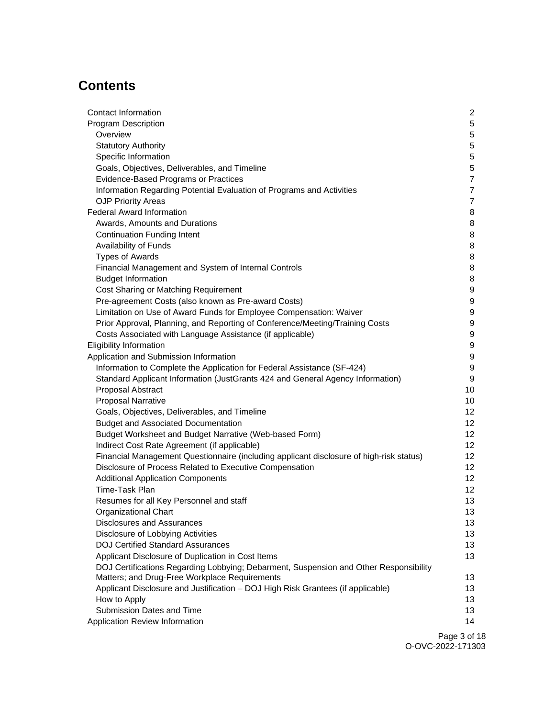# **Contents**

| Contact Information                                                                     | $\mathbf{2}$     |
|-----------------------------------------------------------------------------------------|------------------|
| <b>Program Description</b>                                                              | $5\phantom{.0}$  |
| Overview                                                                                | $\overline{5}$   |
| <b>Statutory Authority</b>                                                              | $\overline{5}$   |
| Specific Information                                                                    | 5                |
| Goals, Objectives, Deliverables, and Timeline                                           | 5                |
| Evidence-Based Programs or Practices                                                    | $\overline{7}$   |
| Information Regarding Potential Evaluation of Programs and Activities                   | $\overline{7}$   |
| <b>OJP Priority Areas</b>                                                               | 7                |
| <b>Federal Award Information</b>                                                        | 8                |
| Awards, Amounts and Durations                                                           | 8                |
| <b>Continuation Funding Intent</b>                                                      | 8                |
| Availability of Funds                                                                   | 8                |
| <b>Types of Awards</b>                                                                  | 8                |
| Financial Management and System of Internal Controls                                    | 8                |
| <b>Budget Information</b>                                                               | 8                |
| Cost Sharing or Matching Requirement                                                    | 9                |
| Pre-agreement Costs (also known as Pre-award Costs)                                     | 9                |
| Limitation on Use of Award Funds for Employee Compensation: Waiver                      | 9                |
| Prior Approval, Planning, and Reporting of Conference/Meeting/Training Costs            | $\boldsymbol{9}$ |
| Costs Associated with Language Assistance (if applicable)                               | $\boldsymbol{9}$ |
| <b>Eligibility Information</b>                                                          | 9                |
| Application and Submission Information                                                  | 9                |
| Information to Complete the Application for Federal Assistance (SF-424)                 | $\boldsymbol{9}$ |
| Standard Applicant Information (JustGrants 424 and General Agency Information)          | 9                |
| Proposal Abstract                                                                       | 10               |
| <b>Proposal Narrative</b>                                                               | 10               |
| Goals, Objectives, Deliverables, and Timeline                                           | 12               |
| <b>Budget and Associated Documentation</b>                                              | 12 <sup>°</sup>  |
| Budget Worksheet and Budget Narrative (Web-based Form)                                  | 12 <sup>°</sup>  |
| Indirect Cost Rate Agreement (if applicable)                                            | 12 <sup>°</sup>  |
| Financial Management Questionnaire (including applicant disclosure of high-risk status) | 12 <sup>°</sup>  |
| Disclosure of Process Related to Executive Compensation                                 | 12 <sub>2</sub>  |
| <b>Additional Application Components</b>                                                | 12 <sup>°</sup>  |
| Time-Task Plan                                                                          | 12 <sub>2</sub>  |
| Resumes for all Key Personnel and staff                                                 | 13               |
| Organizational Chart                                                                    | 13               |
| <b>Disclosures and Assurances</b>                                                       | 13               |
| Disclosure of Lobbying Activities                                                       | 13               |
| <b>DOJ Certified Standard Assurances</b>                                                | 13               |
| Applicant Disclosure of Duplication in Cost Items                                       | 13               |
| DOJ Certifications Regarding Lobbying; Debarment, Suspension and Other Responsibility   |                  |
| Matters; and Drug-Free Workplace Requirements                                           | 13               |
| Applicant Disclosure and Justification - DOJ High Risk Grantees (if applicable)         | 13               |
| How to Apply                                                                            | 13               |
| Submission Dates and Time                                                               | 13               |
| Application Review Information                                                          | 14               |
|                                                                                         | Dao 2 of 4       |

Page 3 of 18 O-OVC-2022-171303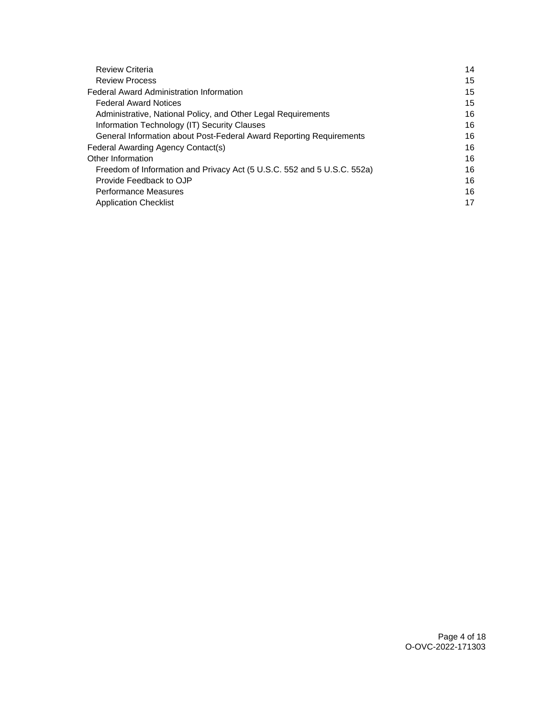| <b>Review Criteria</b>                                                  | 14 |
|-------------------------------------------------------------------------|----|
| <b>Review Process</b>                                                   | 15 |
| <b>Federal Award Administration Information</b>                         | 15 |
| <b>Federal Award Notices</b>                                            | 15 |
| Administrative, National Policy, and Other Legal Requirements           | 16 |
| Information Technology (IT) Security Clauses                            | 16 |
| General Information about Post-Federal Award Reporting Requirements     | 16 |
| Federal Awarding Agency Contact(s)                                      | 16 |
| Other Information                                                       | 16 |
| Freedom of Information and Privacy Act (5 U.S.C. 552 and 5 U.S.C. 552a) | 16 |
| Provide Feedback to OJP                                                 | 16 |
| <b>Performance Measures</b>                                             | 16 |
| <b>Application Checklist</b>                                            | 17 |
|                                                                         |    |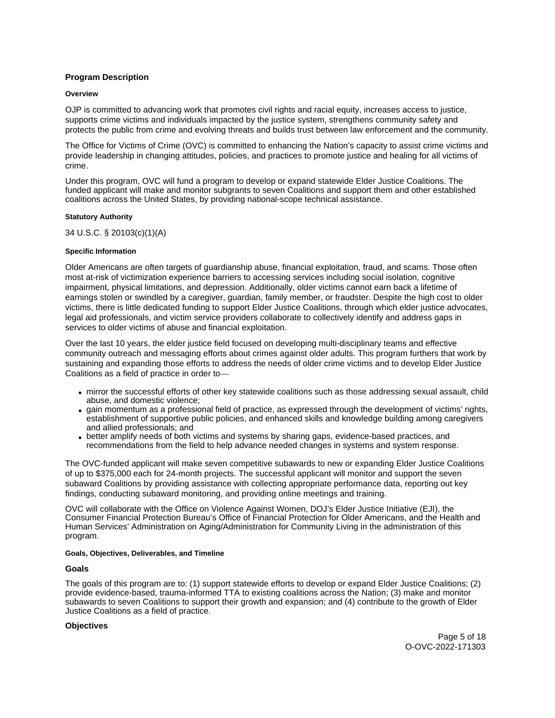## <span id="page-4-0"></span>**Program Description**

#### **Overview**

OJP is committed to advancing work that promotes civil rights and racial equity, increases access to justice, supports crime victims and individuals impacted by the justice system, strengthens community safety and protects the public from crime and evolving threats and builds trust between law enforcement and the community.

The Office for Victims of Crime (OVC) is committed to enhancing the Nation's capacity to assist crime victims and provide leadership in changing attitudes, policies, and practices to promote justice and healing for all victims of crime.

Under this program, OVC will fund a program to develop or expand statewide Elder Justice Coalitions. The funded applicant will make and monitor subgrants to seven Coalitions and support them and other established coalitions across the United States, by providing national-scope technical assistance.

### **Statutory Authority**

34 U.S.C. § 20103(c)(1)(A)

### **Specific Information**

Older Americans are often targets of guardianship abuse, financial exploitation, fraud, and scams. Those often most at-risk of victimization experience barriers to accessing services including social isolation, cognitive impairment, physical limitations, and depression. Additionally, older victims cannot earn back a lifetime of earnings stolen or swindled by a caregiver, guardian, family member, or fraudster. Despite the high cost to older victims, there is little dedicated funding to support Elder Justice Coalitions, through which elder justice advocates, legal aid professionals, and victim service providers collaborate to collectively identify and address gaps in services to older victims of abuse and financial exploitation.

Over the last 10 years, the elder justice field focused on developing multi-disciplinary teams and effective community outreach and messaging efforts about crimes against older adults. This program furthers that work by sustaining and expanding those efforts to address the needs of older crime victims and to develop Elder Justice Coalitions as a field of practice in order to—

- mirror the successful efforts of other key statewide coalitions such as those addressing sexual assault, child abuse, and domestic violence;
- gain momentum as a professional field of practice, as expressed through the development of victims' rights, establishment of supportive public policies, and enhanced skills and knowledge building among caregivers and allied professionals; and
- better amplify needs of both victims and systems by sharing gaps, evidence-based practices, and recommendations from the field to help advance needed changes in systems and system response.

The OVC-funded applicant will make seven competitive subawards to new or expanding Elder Justice Coalitions of up to \$375,000 each for 24-month projects. The successful applicant will monitor and support the seven subaward Coalitions by providing assistance with collecting appropriate performance data, reporting out key findings, conducting subaward monitoring, and providing online meetings and training.

OVC will collaborate with the Office on Violence Against Women, DOJ's Elder Justice Initiative (EJI), the Consumer Financial Protection Bureau's Office of Financial Protection for Older Americans, and the Health and Human Services' Administration on Aging/Administration for Community Living in the administration of this program.

#### **Goals, Objectives, Deliverables, and Timeline**

#### **Goals**

The goals of this program are to: (1) support statewide efforts to develop or expand Elder Justice Coalitions; (2) provide evidence-based, trauma-informed TTA to existing coalitions across the Nation; (3) make and monitor subawards to seven Coalitions to support their growth and expansion; and (4) contribute to the growth of Elder Justice Coalitions as a field of practice.

#### **Objectives**

Page 5 of 18 O-OVC-2022-171303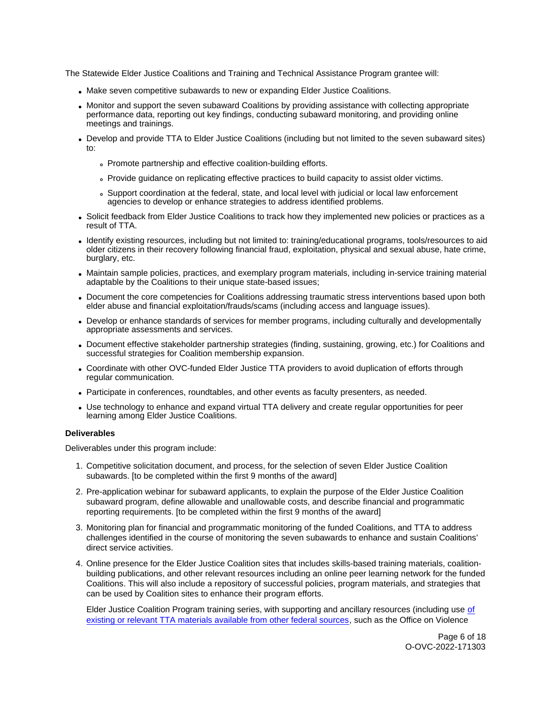The Statewide Elder Justice Coalitions and Training and Technical Assistance Program grantee will:

- Make seven competitive subawards to new or expanding Elder Justice Coalitions.
- Monitor and support the seven subaward Coalitions by providing assistance with collecting appropriate performance data, reporting out key findings, conducting subaward monitoring, and providing online meetings and trainings.
- Develop and provide TTA to Elder Justice Coalitions (including but not limited to the seven subaward sites) to:
	- Promote partnership and effective coalition-building efforts.
	- Provide guidance on replicating effective practices to build capacity to assist older victims.
	- Support coordination at the federal, state, and local level with judicial or local law enforcement agencies to develop or enhance strategies to address identified problems.
- Solicit feedback from Elder Justice Coalitions to track how they implemented new policies or practices as a result of TTA.
- Identify existing resources, including but not limited to: training/educational programs, tools/resources to aid older citizens in their recovery following financial fraud, exploitation, physical and sexual abuse, hate crime, burglary, etc.
- Maintain sample policies, practices, and exemplary program materials, including in-service training material adaptable by the Coalitions to their unique state-based issues;
- Document the core competencies for Coalitions addressing traumatic stress interventions based upon both elder abuse and financial exploitation/frauds/scams (including access and language issues).
- Develop or enhance standards of services for member programs, including culturally and developmentally appropriate assessments and services.
- Document effective stakeholder partnership strategies (finding, sustaining, growing, etc.) for Coalitions and successful strategies for Coalition membership expansion.
- Coordinate with other OVC-funded Elder Justice TTA providers to avoid duplication of efforts through regular communication.
- Participate in conferences, roundtables, and other events as faculty presenters, as needed.
- Use technology to enhance and expand virtual TTA delivery and create regular opportunities for peer learning among Elder Justice Coalitions.

## **Deliverables**

Deliverables under this program include:

- 1. Competitive solicitation document, and process, for the selection of seven Elder Justice Coalition subawards. [to be completed within the first 9 months of the award]
- 2. Pre-application webinar for subaward applicants, to explain the purpose of the Elder Justice Coalition subaward program, define allowable and unallowable costs, and describe financial and programmatic reporting requirements. [to be completed within the first 9 months of the award]
- 3. Monitoring plan for financial and programmatic monitoring of the funded Coalitions, and TTA to address challenges identified in the course of monitoring the seven subawards to enhance and sustain Coalitions' direct service activities.
- 4. Online presence for the Elder Justice Coalition sites that includes skills-based training materials, coalitionbuilding publications, and other relevant resources including an online peer learning network for the funded Coalitions. This will also include a repository of successful policies, program materials, and strategies that can be used by Coalition sites to enhance their program efforts.

Elder Justice Coalition Program training series, with supporting and ancillary resources (including use [of](https://www.justice.gov/ovw/training-and-technical-assistance)  [existing or relevant TTA materials available from other federal sources,](https://www.justice.gov/ovw/training-and-technical-assistance) such as the Office on Violence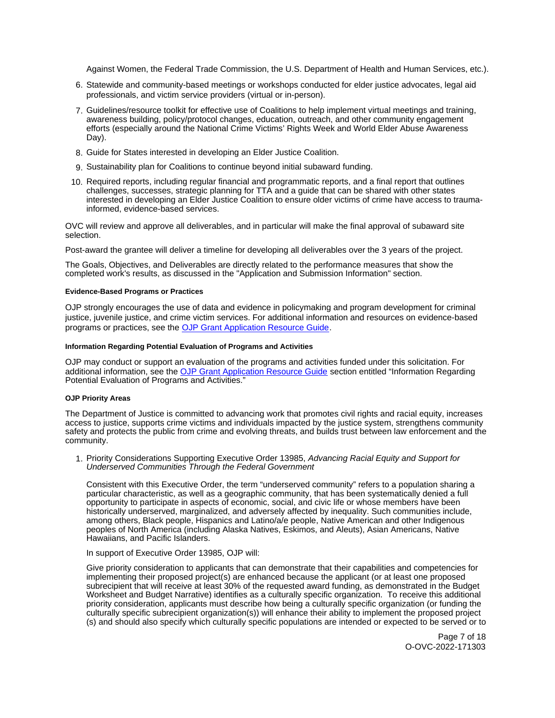<span id="page-6-0"></span>Against Women, the Federal Trade Commission, the U.S. Department of Health and Human Services, etc.).

- 6. Statewide and community-based meetings or workshops conducted for elder justice advocates, legal aid professionals, and victim service providers (virtual or in-person).
- 7. Guidelines/resource toolkit for effective use of Coalitions to help implement virtual meetings and training, awareness building, policy/protocol changes, education, outreach, and other community engagement efforts (especially around the National Crime Victims' Rights Week and World Elder Abuse Awareness Day).
- 8. Guide for States interested in developing an Elder Justice Coalition.
- 9. Sustainability plan for Coalitions to continue beyond initial subaward funding.
- 10. Required reports, including regular financial and programmatic reports, and a final report that outlines challenges, successes, strategic planning for TTA and a guide that can be shared with other states interested in developing an Elder Justice Coalition to ensure older victims of crime have access to traumainformed, evidence-based services.

OVC will review and approve all deliverables, and in particular will make the final approval of subaward site selection.

Post-award the grantee will deliver a timeline for developing all deliverables over the 3 years of the project.

The Goals, Objectives, and Deliverables are directly related to the performance measures that show the completed work's results, as discussed in the "Application and Submission Information" section.

#### **Evidence-Based Programs or Practices**

OJP strongly encourages the use of data and evidence in policymaking and program development for criminal justice, juvenile justice, and crime victim services. For additional information and resources on evidence-based programs or practices, see the [OJP Grant Application Resource Guide.](https://www.ojp.gov/funding/apply/ojp-grant-application-resource-guide#evidence-based)

#### **Information Regarding Potential Evaluation of Programs and Activities**

OJP may conduct or support an evaluation of the programs and activities funded under this solicitation. For additional information, see the [OJP Grant Application Resource Guide](https://www.ojp.gov/funding/apply/ojp-grant-application-resource-guide#potential-evaluation) section entitled "Information Regarding Potential Evaluation of Programs and Activities."

#### **OJP Priority Areas**

The Department of Justice is committed to advancing work that promotes civil rights and racial equity, increases access to justice, supports crime victims and individuals impacted by the justice system, strengthens community safety and protects the public from crime and evolving threats, and builds trust between law enforcement and the community.

1. Priority Considerations Supporting Executive Order 13985, Advancing Racial Equity and Support for Underserved Communities Through the Federal Government

Consistent with this Executive Order, the term "underserved community" refers to a population sharing a particular characteristic, as well as a geographic community, that has been systematically denied a full opportunity to participate in aspects of economic, social, and civic life or whose members have been historically underserved, marginalized, and adversely affected by inequality. Such communities include, among others, Black people, Hispanics and Latino/a/e people, Native American and other Indigenous peoples of North America (including Alaska Natives, Eskimos, and Aleuts), Asian Americans, Native Hawaiians, and Pacific Islanders.

## In support of Executive Order 13985, OJP will:

Give priority consideration to applicants that can demonstrate that their capabilities and competencies for implementing their proposed project(s) are enhanced because the applicant (or at least one proposed subrecipient that will receive at least 30% of the requested award funding, as demonstrated in the Budget Worksheet and Budget Narrative) identifies as a culturally specific organization. To receive this additional priority consideration, applicants must describe how being a culturally specific organization (or funding the culturally specific subrecipient organization(s)) will enhance their ability to implement the proposed project (s) and should also specify which culturally specific populations are intended or expected to be served or to

> Page 7 of 18 O-OVC-2022-171303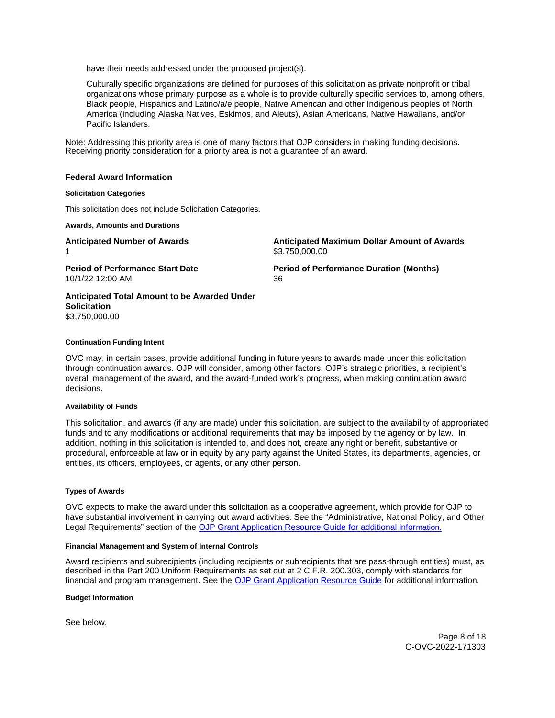<span id="page-7-0"></span>have their needs addressed under the proposed project(s).

Culturally specific organizations are defined for purposes of this solicitation as private nonprofit or tribal organizations whose primary purpose as a whole is to provide culturally specific services to, among others, Black people, Hispanics and Latino/a/e people, Native American and other Indigenous peoples of North America (including Alaska Natives, Eskimos, and Aleuts), Asian Americans, Native Hawaiians, and/or Pacific Islanders.

Note: Addressing this priority area is one of many factors that OJP considers in making funding decisions. Receiving priority consideration for a priority area is not a guarantee of an award.

#### **Federal Award Information**

#### **Solicitation Categories**

This solicitation does not include Solicitation Categories.

**Awards, Amounts and Durations** 

1  $$3,750,000.00$  $$3,750,000.00$ 

**Anticipated Number of Awards Anticipated Maximum Dollar Amount of Awards** 

10/1/22 12:00 AM 36

**Period of Performance Start Date Period of Performance Duration (Months)** 

## **Anticipated Total Amount to be Awarded Under Solicitation**  [\\$3,750,000.00](https://3,750,000.00)

#### **Continuation Funding Intent**

OVC may, in certain cases, provide additional funding in future years to awards made under this solicitation through continuation awards. OJP will consider, among other factors, OJP's strategic priorities, a recipient's overall management of the award, and the award-funded work's progress, when making continuation award decisions.

#### **Availability of Funds**

This solicitation, and awards (if any are made) under this solicitation, are subject to the availability of appropriated funds and to any modifications or additional requirements that may be imposed by the agency or by law. In addition, nothing in this solicitation is intended to, and does not, create any right or benefit, substantive or procedural, enforceable at law or in equity by any party against the United States, its departments, agencies, or entities, its officers, employees, or agents, or any other person.

#### **Types of Awards**

OVC expects to make the award under this solicitation as a cooperative agreement, which provide for OJP to have substantial involvement in carrying out award activities. See the "Administrative, National Policy, and Other Legal Requirements" section of the [OJP Grant Application Resource Guide](https://ojp.gov/funding/Apply/Resources/Grant-App-Resource-Guide.htm) for additional information.

#### **Financial Management and System of Internal Controls**

Award recipients and subrecipients (including recipients or subrecipients that are pass-through entities) must, as described in the Part 200 Uniform Requirements as set out at 2 C.F.R. 200.303, comply with standards for financial and program management. See the [OJP Grant Application Resource Guide](https://www.ojp.gov/funding/apply/ojp-grant-application-resource-guide#fm-internal-controls) for additional information.

**Budget Information** 

See below.

Page 8 of 18 O-OVC-2022-171303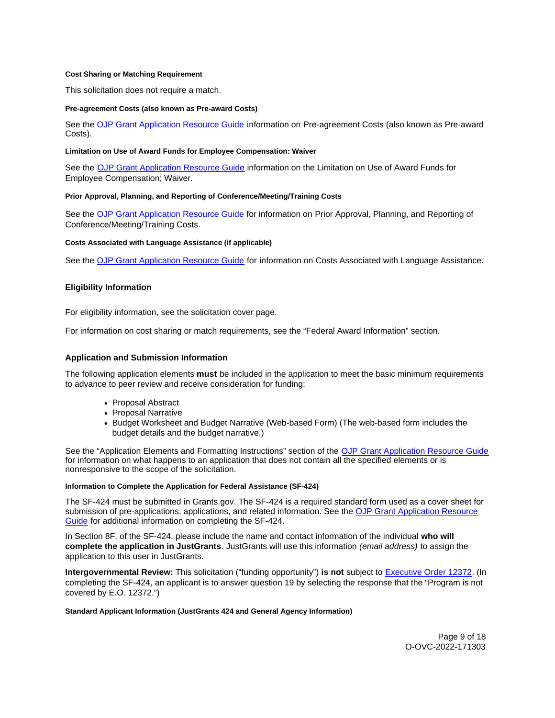#### <span id="page-8-0"></span>**Cost Sharing or Matching Requirement**

This solicitation does not require a match.

#### **Pre-agreement Costs (also known as Pre-award Costs)**

See the [OJP Grant Application Resource Guide](https://www.ojp.gov/funding/apply/ojp-grant-application-resource-guide#pre-agreement-costs) information on Pre-agreement Costs (also known as Pre-award Costs).

#### **Limitation on Use of Award Funds for Employee Compensation: Waiver**

See the [OJP Grant Application Resource Guide](https://www.ojp.gov/funding/apply/ojp-grant-application-resource-guide#limitation-use-award) information on the Limitation on Use of Award Funds for Employee Compensation; Waiver.

#### **Prior Approval, Planning, and Reporting of Conference/Meeting/Training Costs**

See the [OJP Grant Application Resource Guide](https://www.ojp.gov/funding/apply/ojp-grant-application-resource-guide#prior-approval) for information on Prior Approval, Planning, and Reporting of Conference/Meeting/Training Costs.

#### **Costs Associated with Language Assistance (if applicable)**

See the [OJP Grant Application Resource Guide](https://www.ojp.gov/funding/apply/ojp-grant-application-resource-guide#costs-associated) for information on Costs Associated with Language Assistance.

### **Eligibility Information**

For eligibility information, see the solicitation cover page.

For information on cost sharing or match requirements, see the "Federal Award Information" section.

#### **Application and Submission Information**

The following application elements **must** be included in the application to meet the basic minimum requirements to advance to peer review and receive consideration for funding:

- Proposal Abstract
- Proposal Narrative
- Budget Worksheet and Budget Narrative (Web-based Form) (The web-based form includes the budget details and the budget narrative.)

See the "Application Elements and Formatting Instructions" section of the [OJP Grant Application Resource Guide](https://www.ojp.gov/funding/apply/ojp-grant-application-resource-guide#application-elements)  for information on what happens to an application that does not contain all the specified elements or is nonresponsive to the scope of the solicitation.

#### **Information to Complete the Application for Federal Assistance (SF-424)**

The SF-424 must be submitted in [Grants.gov](https://Grants.gov). The SF-424 is a required standard form used as a cover sheet for submission of pre-applications, applications, and related information. See the [OJP Grant Application Resource](https://www.ojp.gov/funding/apply/ojp-grant-application-resource-guide#complete-application)  [Guide](https://www.ojp.gov/funding/apply/ojp-grant-application-resource-guide#complete-application) for additional information on completing the SF-424.

In Section 8F. of the SF-424, please include the name and contact information of the individual **who will complete the application in JustGrants**. JustGrants will use this information (email address) to assign the application to this user in JustGrants.

**Intergovernmental Review:** This solicitation ("funding opportunity") **is not** subject to [Executive Order 12372.](https://www.archives.gov/federal-register/codification/executive-order/12372.html) (In completing the SF-424, an applicant is to answer question 19 by selecting the response that the "Program is not covered by E.O. 12372.")

#### **Standard Applicant Information (JustGrants 424 and General Agency Information)**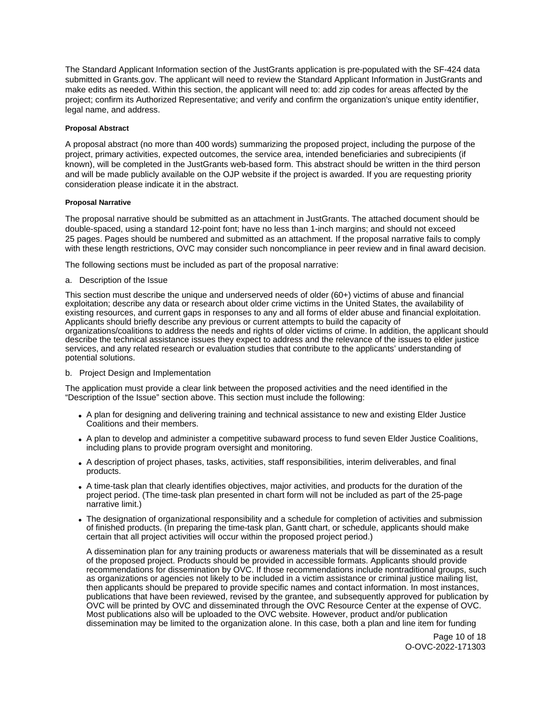<span id="page-9-0"></span>The Standard Applicant Information section of the JustGrants application is pre-populated with the SF-424 data submitted in [Grants.gov.](https://Grants.gov) The applicant will need to review the Standard Applicant Information in JustGrants and make edits as needed. Within this section, the applicant will need to: add zip codes for areas affected by the project; confirm its Authorized Representative; and verify and confirm the organization's unique entity identifier, legal name, and address.

### **Proposal Abstract**

A proposal abstract (no more than 400 words) summarizing the proposed project, including the purpose of the project, primary activities, expected outcomes, the service area, intended beneficiaries and subrecipients (if known), will be completed in the JustGrants web-based form. This abstract should be written in the third person and will be made publicly available on the OJP website if the project is awarded. If you are requesting priority consideration please indicate it in the abstract.

### **Proposal Narrative**

The proposal narrative should be submitted as an attachment in JustGrants. The attached document should be double-spaced, using a standard 12-point font; have no less than 1-inch margins; and should not exceed 25 pages. Pages should be numbered and submitted as an attachment. If the proposal narrative fails to comply with these length restrictions, OVC may consider such noncompliance in peer review and in final award decision.

The following sections must be included as part of the proposal narrative:

a. Description of the Issue

This section must describe the unique and underserved needs of older (60+) victims of abuse and financial exploitation; describe any data or research about older crime victims in the United States, the availability of existing resources, and current gaps in responses to any and all forms of elder abuse and financial exploitation. Applicants should briefly describe any previous or current attempts to build the capacity of organizations/coalitions to address the needs and rights of older victims of crime. In addition, the applicant should describe the technical assistance issues they expect to address and the relevance of the issues to elder justice services, and any related research or evaluation studies that contribute to the applicants' understanding of potential solutions.

b. Project Design and Implementation

The application must provide a clear link between the proposed activities and the need identified in the "Description of the Issue" section above. This section must include the following:

- A plan for designing and delivering training and technical assistance to new and existing Elder Justice Coalitions and their members.
- A plan to develop and administer a competitive subaward process to fund seven Elder Justice Coalitions, including plans to provide program oversight and monitoring.
- A description of project phases, tasks, activities, staff responsibilities, interim deliverables, and final products.
- A time-task plan that clearly identifies objectives, major activities, and products for the duration of the project period. (The time-task plan presented in chart form will not be included as part of the 25-page narrative limit.)
- The designation of organizational responsibility and a schedule for completion of activities and submission of finished products. (In preparing the time-task plan, Gantt chart, or schedule, applicants should make certain that all project activities will occur within the proposed project period.)

A dissemination plan for any training products or awareness materials that will be disseminated as a result of the proposed project. Products should be provided in accessible formats. Applicants should provide recommendations for dissemination by OVC. If those recommendations include nontraditional groups, such as organizations or agencies not likely to be included in a victim assistance or criminal justice mailing list, then applicants should be prepared to provide specific names and contact information. In most instances, publications that have been reviewed, revised by the grantee, and subsequently approved for publication by OVC will be printed by OVC and disseminated through the OVC Resource Center at the expense of OVC. Most publications also will be uploaded to the OVC website. However, product and/or publication dissemination may be limited to the organization alone. In this case, both a plan and line item for funding

> Page 10 of 18 O-OVC-2022-171303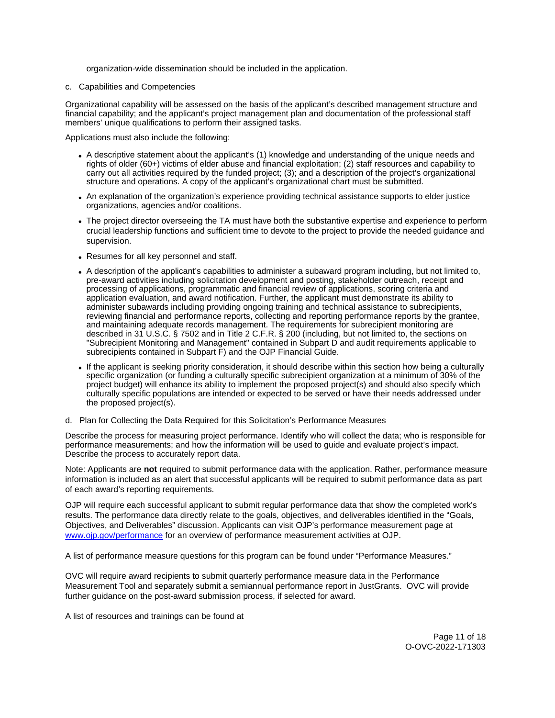organization-wide dissemination should be included in the application.

#### c. Capabilities and Competencies

Organizational capability will be assessed on the basis of the applicant's described management structure and financial capability; and the applicant's project management plan and documentation of the professional staff members' unique qualifications to perform their assigned tasks.

Applications must also include the following:

- A descriptive statement about the applicant's (1) knowledge and understanding of the unique needs and rights of older (60+) victims of elder abuse and financial exploitation; (2) staff resources and capability to carry out all activities required by the funded project; (3); and a description of the project's organizational structure and operations. A copy of the applicant's organizational chart must be submitted.
- An explanation of the organization's experience providing technical assistance supports to elder justice organizations, agencies and/or coalitions.
- The project director overseeing the TA must have both the substantive expertise and experience to perform crucial leadership functions and sufficient time to devote to the project to provide the needed guidance and supervision.
- Resumes for all key personnel and staff.
- A description of the applicant's capabilities to administer a subaward program including, but not limited to, pre-award activities including solicitation development and posting, stakeholder outreach, receipt and processing of applications, programmatic and financial review of applications, scoring criteria and application evaluation, and award notification. Further, the applicant must demonstrate its ability to administer subawards including providing ongoing training and technical assistance to subrecipients, reviewing financial and performance reports, collecting and reporting performance reports by the grantee, and maintaining adequate records management. The requirements for subrecipient monitoring are described in 31 U.S.C. § 7502 and in Title 2 C.F.R. § 200 (including, but not limited to, the sections on "Subrecipient Monitoring and Management" contained in Subpart D and audit requirements applicable to subrecipients contained in Subpart F) and the OJP Financial Guide.
- If the applicant is seeking priority consideration, it should describe within this section how being a culturally specific organization (or funding a culturally specific subrecipient organization at a minimum of 30% of the project budget) will enhance its ability to implement the proposed project(s) and should also specify which culturally specific populations are intended or expected to be served or have their needs addressed under the proposed project(s).
- d. Plan for Collecting the Data Required for this Solicitation's Performance Measures

Describe the process for measuring project performance. Identify who will collect the data; who is responsible for performance measurements; and how the information will be used to guide and evaluate project's impact. Describe the process to accurately report data.

Note: Applicants are **not** required to submit performance data with the application. Rather, performance measure information is included as an alert that successful applicants will be required to submit performance data as part of each award's reporting requirements.

OJP will require each successful applicant to submit regular performance data that show the completed work's results. The performance data directly relate to the goals, objectives, and deliverables identified in the "Goals, Objectives, and Deliverables" discussion. Applicants can visit OJP's performance measurement page at [www.ojp.gov/performance](https://www.ojp.gov/performance) for an overview of performance measurement activities at OJP.

A list of performance measure questions for this program can be found under "Performance Measures."

OVC will require award recipients to submit quarterly performance measure data in the Performance Measurement Tool and separately submit a semiannual performance report in JustGrants. OVC will provide further guidance on the post-award submission process, if selected for award.

A list of resources and trainings can be found at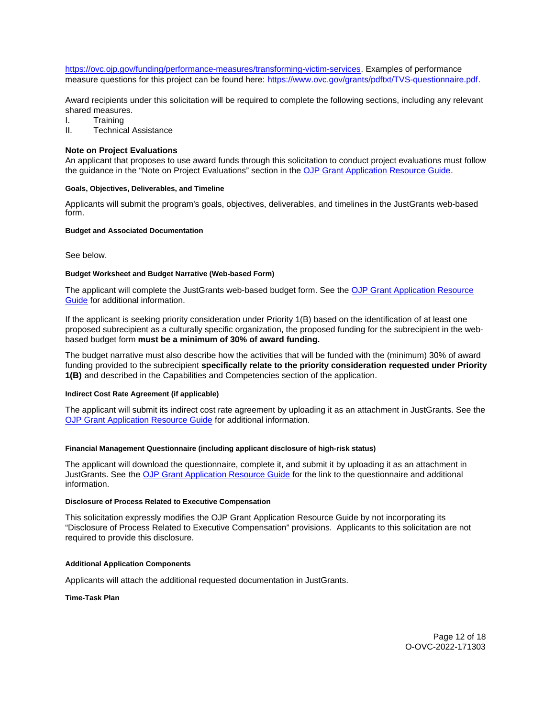<span id="page-11-0"></span>[https://ovc.ojp.gov/funding/performance-measures/transforming-victim-services.](https://ovc.ojp.gov/funding/performance-measures/transforming-victim-services) Examples of performance measure questions for this project can be found here: [https://www.ovc.gov/grants/pdftxt/TVS-questionnaire.pdf.](https://www.ovc.gov/grants/pdftxt/TVS-questionnaire.pdf)

Award recipients under this solicitation will be required to complete the following sections, including any relevant shared measures.

I. Training

II. Technical Assistance

### **Note on Project Evaluations**

An applicant that proposes to use award funds through this solicitation to conduct project evaluations must follow the guidance in the "Note on Project Evaluations" section in the [OJP Grant Application Resource Guide.](https://www.ojp.gov/funding/apply/ojp-grant-application-resource-guide#project-evaluations)

#### **Goals, Objectives, Deliverables, and Timeline**

Applicants will submit the program's goals, objectives, deliverables, and timelines in the JustGrants web-based form.

#### **Budget and Associated Documentation**

See below.

### **Budget Worksheet and Budget Narrative (Web-based Form)**

The applicant will complete the JustGrants web-based budget form. See the OJP Grant Application Resource [Guide](https://www.ojp.gov/funding/apply/ojp-grant-application-resource-guide#budget-prep) for additional information.

If the applicant is seeking priority consideration under Priority 1(B) based on the identification of at least one proposed subrecipient as a culturally specific organization, the proposed funding for the subrecipient in the webbased budget form **must be a minimum of 30% of award funding.** 

The budget narrative must also describe how the activities that will be funded with the (minimum) 30% of award funding provided to the subrecipient **specifically relate to the priority consideration requested under Priority 1(B)** and described in the Capabilities and Competencies section of the application.

#### **Indirect Cost Rate Agreement (if applicable)**

The applicant will submit its indirect cost rate agreement by uploading it as an attachment in JustGrants. See the [OJP Grant Application Resource Guide](https://www.ojp.gov/funding/apply/ojp-grant-application-resource-guide#indirect-cost) for additional information.

## **Financial Management Questionnaire (including applicant disclosure of high-risk status)**

The applicant will download the questionnaire, complete it, and submit it by uploading it as an attachment in JustGrants. See the [OJP Grant Application Resource Guide](https://www.ojp.gov/funding/apply/ojp-grant-application-resource-guide#fm-internal-controls-questionnaire) for the link to the questionnaire and additional information.

#### **Disclosure of Process Related to Executive Compensation**

This solicitation expressly modifies the OJP Grant Application Resource Guide by not incorporating its "Disclosure of Process Related to Executive Compensation" provisions. Applicants to this solicitation are not required to provide this disclosure.

## **Additional Application Components**

Applicants will attach the additional requested documentation in JustGrants.

**Time-Task Plan** 

Page 12 of 18 O-OVC-2022-171303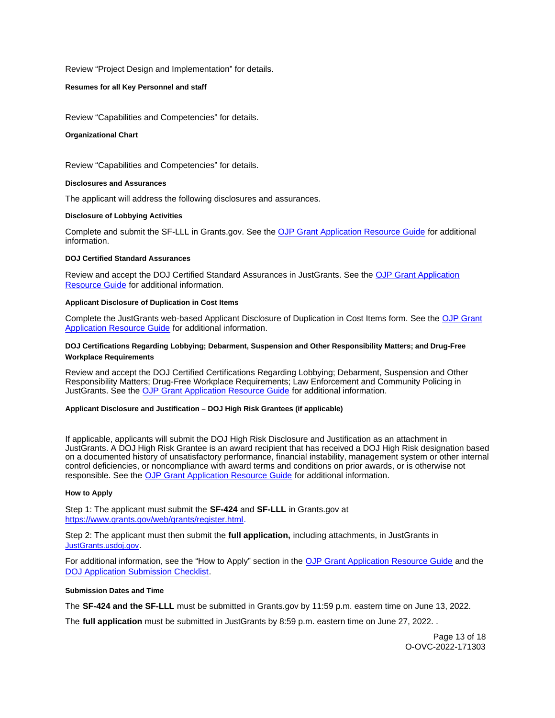<span id="page-12-0"></span>Review "Project Design and Implementation" for details.

#### **Resumes for all Key Personnel and staff**

Review "Capabilities and Competencies" for details.

#### **Organizational Chart**

Review "Capabilities and Competencies" for details.

#### **Disclosures and Assurances**

The applicant will address the following disclosures and assurances.

#### **Disclosure of Lobbying Activities**

Complete and submit the SF-LLL in [Grants.gov.](https://Grants.gov) See the [OJP Grant Application Resource Guide](https://www.ojp.gov/funding/apply/ojp-grant-application-resource-guide#disclosure-lobby) for additional information.

#### **DOJ Certified Standard Assurances**

Review and accept the DOJ Certified Standard Assurances in JustGrants. See the [OJP Grant Application](https://www.ojp.gov/funding/apply/ojp-grant-application-resource-guide#administrative)  [Resource Guide](https://www.ojp.gov/funding/apply/ojp-grant-application-resource-guide#administrative) for additional information.

#### **Applicant Disclosure of Duplication in Cost Items**

Complete the JustGrants web-based Applicant Disclosure of Duplication in Cost Items form. See the [OJP Grant](https://www.ojp.gov/funding/apply/ojp-grant-application-resource-guide#applicant-disclosure-pending-applications)  [Application Resource Guide](https://www.ojp.gov/funding/apply/ojp-grant-application-resource-guide#applicant-disclosure-pending-applications) for additional information.

#### **DOJ Certifications Regarding Lobbying; Debarment, Suspension and Other Responsibility Matters; and Drug-Free Workplace Requirements**

Review and accept the DOJ Certified Certifications Regarding Lobbying; Debarment, Suspension and Other Responsibility Matters; Drug-Free Workplace Requirements; Law Enforcement and Community Policing in JustGrants. See the [OJP Grant Application Resource Guide](https://www.ojp.gov/funding/apply/ojp-grant-application-resource-guide#administrative) for additional information.

#### **Applicant Disclosure and Justification – DOJ High Risk Grantees (if applicable)**

If applicable, applicants will submit the DOJ High Risk Disclosure and Justification as an attachment in JustGrants. A DOJ High Risk Grantee is an award recipient that has received a DOJ High Risk designation based on a documented history of unsatisfactory performance, financial instability, management system or other internal control deficiencies, or noncompliance with award terms and conditions on prior awards, or is otherwise not responsible. See the [OJP Grant Application Resource Guide](https://www.ojp.gov/funding/apply/ojp-grant-application-resource-guide) for additional information.

## **How to Apply**

Step 1: The applicant must submit the **SF-424** and **SF-LLL** in [Grants.gov](https://Grants.gov) at [https://www.grants.gov/web/grants/register.html.](https://www.grants.gov/web/grants/register.html)

Step 2: The applicant must then submit the **full application,** including attachments, in JustGrants in [JustGrants.usdoj.gov.](https://justicegrants.usdoj.gov/)

For additional information, see the "How to Apply" section in the [OJP Grant Application Resource Guide](https://www.ojp.gov/funding/apply/ojp-grant-application-resource-guide#apply) and the [DOJ Application Submission Checklist.](https://justicegrants.usdoj.gov/sites/g/files/xyckuh296/files/media/document/appln-submission-checklist.pdf)

#### **Submission Dates and Time**

The **SF-424 and the SF-LLL** must be submitted in [Grants.gov](https://Grants.gov) by 11:59 p.m. eastern time on June 13, 2022.

The **full application** must be submitted in JustGrants by 8:59 p.m. eastern time on June 27, 2022. .

Page 13 of 18 O-OVC-2022-171303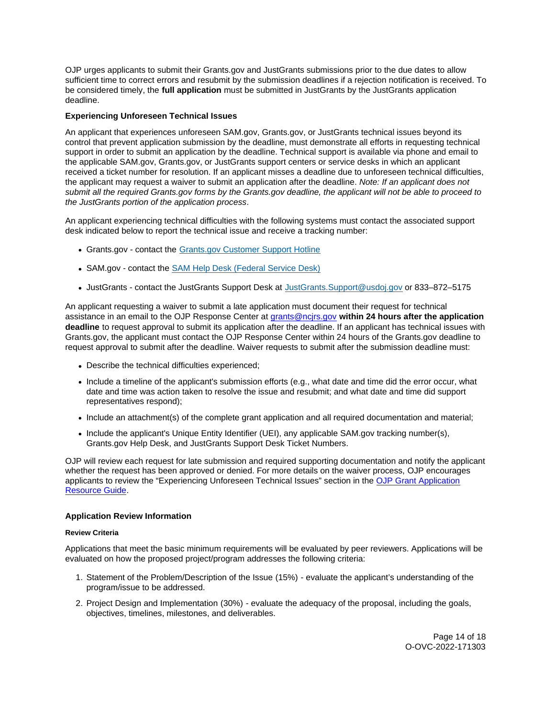<span id="page-13-0"></span>OJP urges applicants to submit their [Grants.gov](https://Grants.gov) and JustGrants submissions prior to the due dates to allow sufficient time to correct errors and resubmit by the submission deadlines if a rejection notification is received. To be considered timely, the **full application** must be submitted in JustGrants by the JustGrants application deadline.

## **Experiencing Unforeseen Technical Issues**

An applicant that experiences unforeseen SAM.gov, [Grants.gov,](https://Grants.gov) or JustGrants technical issues beyond its control that prevent application submission by the deadline, must demonstrate all efforts in requesting technical support in order to submit an application by the deadline. Technical support is available via phone and email to the applicable SAM.gov, [Grants.gov,](https://Grants.gov) or JustGrants support centers or service desks in which an applicant received a ticket number for resolution. If an applicant misses a deadline due to unforeseen technical difficulties, the applicant may request a waiver to submit an application after the deadline. Note: If an applicant does not submit all the required [Grants.gov](https://Grants.gov) forms by the [Grants.gov](https://Grants.gov) deadline, the applicant will not be able to proceed to the JustGrants portion of the application process.

An applicant experiencing technical difficulties with the following systems must contact the associated support desk indicated below to report the technical issue and receive a tracking number:

- [Grants.gov](https://Grants.gov)  contact the [Grants.gov Customer Support Hotline](https://www.grants.gov/web/grants/support.html)
- SAM.gov contact the [SAM Help Desk \(Federal Service Desk\)](https://www.fsd.gov/gsafsd_sp)
- JustGrants contact the JustGrants Support Desk at [JustGrants.Support@usdoj.gov](mailto:JustGrants.Support@usdoj.gov) or 833–872–5175

An applicant requesting a waiver to submit a late application must document their request for technical assistance in an email to the OJP Response Center at [grants@ncjrs.gov](mailto:grants@ncjrs.gov) **within 24 hours after the application deadline** to request approval to submit its application after the deadline. If an applicant has technical issues with [Grants.gov,](https://Grants.gov) the applicant must contact the OJP Response Center within 24 hours of the [Grants.gov](https://Grants.gov) deadline to request approval to submit after the deadline. Waiver requests to submit after the submission deadline must:

- Describe the technical difficulties experienced;
- Include a timeline of the applicant's submission efforts (e.g., what date and time did the error occur, what date and time was action taken to resolve the issue and resubmit; and what date and time did support representatives respond);
- Include an attachment(s) of the complete grant application and all required documentation and material;
- Include the applicant's Unique Entity Identifier (UEI), any applicable SAM.gov tracking number(s), [Grants.gov](https://Grants.gov) Help Desk, and JustGrants Support Desk Ticket Numbers.

OJP will review each request for late submission and required supporting documentation and notify the applicant whether the request has been approved or denied. For more details on the waiver process, OJP encourages applicants to review the "Experiencing Unforeseen Technical Issues" section in the [OJP Grant Application](https://www.ojp.gov/funding/apply/ojp-grant-application-resource-guide#experiencing-unforeseen-technical-issues)  [Resource Guide.](https://www.ojp.gov/funding/apply/ojp-grant-application-resource-guide#experiencing-unforeseen-technical-issues)

## **Application Review Information**

#### **Review Criteria**

Applications that meet the basic minimum requirements will be evaluated by peer reviewers. Applications will be evaluated on how the proposed project/program addresses the following criteria:

- 1. Statement of the Problem/Description of the Issue (15%) evaluate the applicant's understanding of the program/issue to be addressed.
- 2. Project Design and Implementation (30%) evaluate the adequacy of the proposal, including the goals, objectives, timelines, milestones, and deliverables.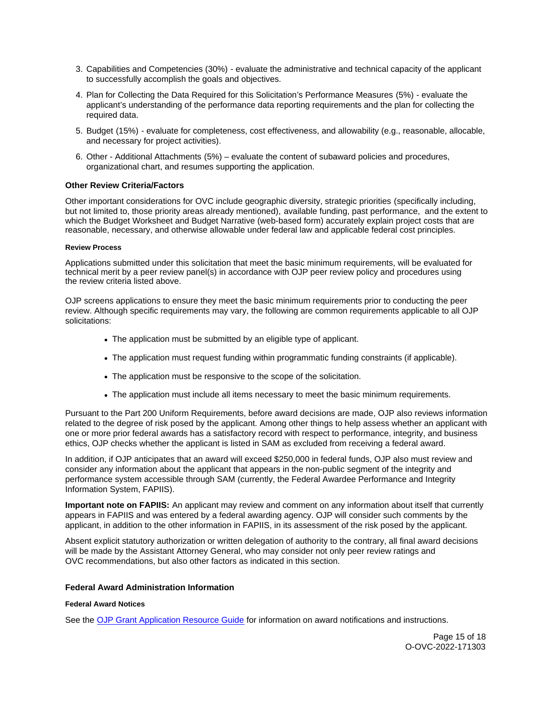- <span id="page-14-0"></span>3. Capabilities and Competencies (30%) - evaluate the administrative and technical capacity of the applicant to successfully accomplish the goals and objectives.
- 4. Plan for Collecting the Data Required for this Solicitation's Performance Measures (5%) evaluate the applicant's understanding of the performance data reporting requirements and the plan for collecting the required data.
- 5. Budget (15%) evaluate for completeness, cost effectiveness, and allowability (e.g., reasonable, allocable, and necessary for project activities).
- 6. Other Additional Attachments (5%) evaluate the content of subaward policies and procedures, organizational chart, and resumes supporting the application.

## **Other Review Criteria/Factors**

Other important considerations for OVC include geographic diversity, strategic priorities (specifically including, but not limited to, those priority areas already mentioned), available funding, past performance, and the extent to which the Budget Worksheet and Budget Narrative (web-based form) accurately explain project costs that are reasonable, necessary, and otherwise allowable under federal law and applicable federal cost principles.

## **Review Process**

Applications submitted under this solicitation that meet the basic minimum requirements, will be evaluated for technical merit by a peer review panel(s) in accordance with OJP peer review policy and procedures using the review criteria listed above.

OJP screens applications to ensure they meet the basic minimum requirements prior to conducting the peer review. Although specific requirements may vary, the following are common requirements applicable to all OJP solicitations:

- The application must be submitted by an eligible type of applicant.
- The application must request funding within programmatic funding constraints (if applicable).
- The application must be responsive to the scope of the solicitation.
- The application must include all items necessary to meet the basic minimum requirements.

Pursuant to the Part 200 Uniform Requirements, before award decisions are made, OJP also reviews information related to the degree of risk posed by the applicant. Among other things to help assess whether an applicant with one or more prior federal awards has a satisfactory record with respect to performance, integrity, and business ethics, OJP checks whether the applicant is listed in SAM as excluded from receiving a federal award.

In addition, if OJP anticipates that an award will exceed \$250,000 in federal funds, OJP also must review and consider any information about the applicant that appears in the non-public segment of the integrity and performance system accessible through SAM (currently, the Federal Awardee Performance and Integrity Information System, FAPIIS).

**Important note on FAPIIS:** An applicant may review and comment on any information about itself that currently appears in FAPIIS and was entered by a federal awarding agency. OJP will consider such comments by the applicant, in addition to the other information in FAPIIS, in its assessment of the risk posed by the applicant.

Absent explicit statutory authorization or written delegation of authority to the contrary, all final award decisions will be made by the Assistant Attorney General, who may consider not only peer review ratings and OVC recommendations, but also other factors as indicated in this section.

## **Federal Award Administration Information**

## **Federal Award Notices**

See the [OJP Grant Application Resource Guide](https://www.ojp.gov/funding/apply/ojp-grant-application-resource-guide#federal-award-notices) for information on award notifications and instructions.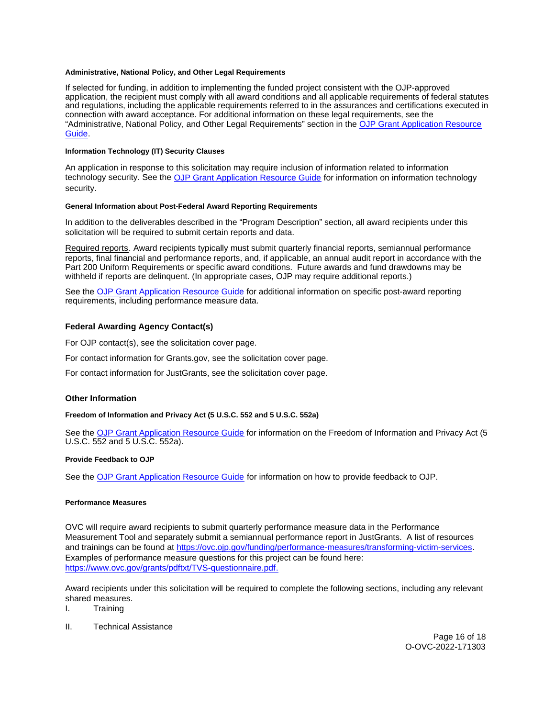## <span id="page-15-0"></span>**Administrative, National Policy, and Other Legal Requirements**

If selected for funding, in addition to implementing the funded project consistent with the OJP-approved application, the recipient must comply with all award conditions and all applicable requirements of federal statutes and regulations, including the applicable requirements referred to in the assurances and certifications executed in connection with award acceptance. For additional information on these legal requirements, see the "Administrative, National Policy, and Other Legal Requirements" section in the [OJP Grant Application Resource](https://www.ojp.gov/funding/apply/ojp-grant-application-resource-guide#administrative)  [Guide.](https://www.ojp.gov/funding/apply/ojp-grant-application-resource-guide#administrative)

## **Information Technology (IT) Security Clauses**

An application in response to this solicitation may require inclusion of information related to information technology security. See the [OJP Grant Application Resource Guide](https://www.ojp.gov/funding/apply/ojp-grant-application-resource-guide#information-technology) for information on information technology security.

#### **General Information about Post-Federal Award Reporting Requirements**

In addition to the deliverables described in the "Program Description" section, all award recipients under this solicitation will be required to submit certain reports and data.

Required reports. Award recipients typically must submit quarterly financial reports, semiannual performance reports, final financial and performance reports, and, if applicable, an annual audit report in accordance with the Part 200 Uniform Requirements or specific award conditions. Future awards and fund drawdowns may be withheld if reports are delinquent. (In appropriate cases, OJP may require additional reports.)

See the [OJP Grant Application Resource Guide](https://www.ojp.gov/funding/apply/ojp-grant-application-resource-guide#general-information) for additional information on specific post-award reporting requirements, including performance measure data.

## **Federal Awarding Agency Contact(s)**

For OJP contact(s), see the solicitation cover page.

For contact information for [Grants.gov](https://Grants.gov), see the solicitation cover page.

For contact information for JustGrants, see the solicitation cover page.

## **Other Information**

**Freedom of Information and Privacy Act (5 U.S.C. 552 and 5 U.S.C. 552a)** 

See the [OJP Grant Application Resource Guide](https://www.ojp.gov/funding/apply/ojp-grant-application-resource-guide#foia) for information on the Freedom of Information and Privacy Act (5 U.S.C. 552 and 5 U.S.C. 552a).

## **Provide Feedback to OJP**

See the [OJP Grant Application Resource Guide](https://www.ojp.gov/funding/apply/ojp-grant-application-resource-guide#feedback) for information on how to provide feedback to OJP.

#### **Performance Measures**

OVC will require award recipients to submit quarterly performance measure data in the Performance Measurement Tool and separately submit a semiannual performance report in JustGrants. A list of resources and trainings can be found at [https://ovc.ojp.gov/funding/performance-measures/transforming-victim-services.](https://ovc.ojp.gov/funding/performance-measures/transforming-victim-services) Examples of performance measure questions for this project can be found here: [https://www.ovc.gov/grants/pdftxt/TVS-questionnaire.pdf.](https://www.ovc.gov/grants/pdftxt/TVS-questionnaire.pdf)

Award recipients under this solicitation will be required to complete the following sections, including any relevant shared measures.

I. Training

II. Technical Assistance

Page 16 of 18 O-OVC-2022-171303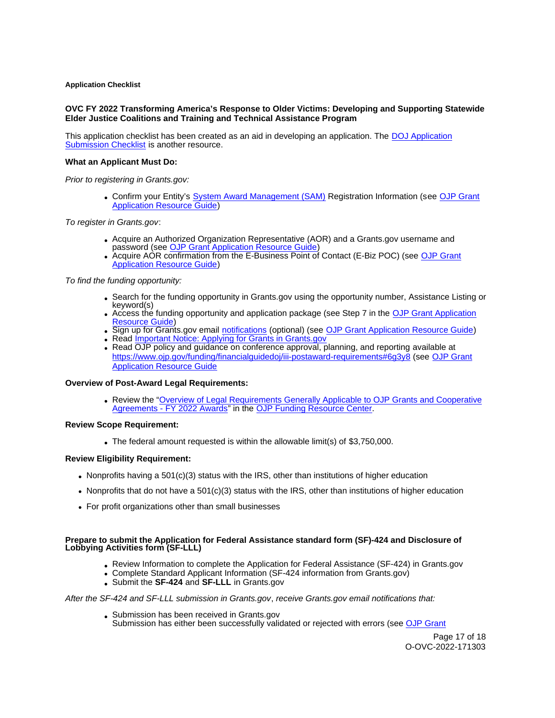### <span id="page-16-0"></span>**Application Checklist**

## **OVC FY 2022 Transforming America's Response to Older Victims: Developing and Supporting Statewide Elder Justice Coalitions and Training and Technical Assistance Program**

This application checklist has been created as an aid in developing an application. The [DOJ Application](https://justicegrants.usdoj.gov/sites/g/files/xyckuh296/files/media/document/appln-submission-checklist.pdf)  [Submission Checklist](https://justicegrants.usdoj.gov/sites/g/files/xyckuh296/files/media/document/appln-submission-checklist.pdf) is another resource.

## **What an Applicant Must Do:**

Prior to registering in [Grants.gov](https://Grants.gov):

Confirm your Entity's [System Award Management \(SAM\)](https://sam.gov/SAM/) Registration Information (see [OJP Grant](https://www.ojp.gov/funding/apply/ojp-grant-application-resource-guide#apply)  [Application Resource Guide\)](https://www.ojp.gov/funding/apply/ojp-grant-application-resource-guide#apply)

To register in [Grants.gov](https://Grants.gov):

- Acquire an Authorized Organization Representative (AOR) and a [Grants.gov](https://Grants.gov) username and password (see OJP Grant Application Resource Guide
- Acquire AOR confirmation from the E-Business Point of Contact (E-Biz POC) (see [OJP Grant](https://www.ojp.gov/funding/apply/ojp-grant-application-resource-guide#apply)  [Application Resource Guide\)](https://www.ojp.gov/funding/apply/ojp-grant-application-resource-guide#apply)

To find the funding opportunity:

- Search for the funding opportunity in [Grants.gov](https://Grants.gov) using the opportunity number, Assistance Listing or keyword(s)
- Access the funding opportunity and application package (see Step 7 in the [OJP Grant Application](https://www.ojp.gov/funding/apply/ojp-grant-application-resource-guide#apply)  [Resource Guide\)](https://www.ojp.gov/funding/apply/ojp-grant-application-resource-guide#apply)
- Sign up for [Grants.gov](https://Grants.gov) email [notifications](https://www.grants.gov/web/grants/manage-subscriptions.html) (optional) (see [OJP Grant Application Resource Guide\)](https://www.ojp.gov/funding/apply/ojp-grant-application-resource-guide#apply)
- Read *Important Notice: Applying for Grants in Grants.gov*
- Read OJP policy and guidance on conference approval, planning, and reporting available at <https://www.ojp.gov/funding/financialguidedoj/iii-postaward-requirements#6g3y8>(see [OJP Grant](https://www.ojp.gov/funding/apply/ojp-grant-application-resource-guide#prior-approval)  [Application Resource Guide](https://www.ojp.gov/funding/apply/ojp-grant-application-resource-guide#prior-approval)

## **Overview of Post-Award Legal Requirements:**

Review the "Overview of Legal Requirements Generally Applicable to OJP Grants and Cooperative [Agreements - FY 2022 Awards"](https://www.ojp.gov/funding/explore/legal-overview-awards) in the [OJP Funding Resource Center.](https://www.ojp.gov/funding/explore/legal-overview-awards)

#### **Review Scope Requirement:**

The federal amount requested is within the allowable limit(s) of \$3,750,000.

## **Review Eligibility Requirement:**

- Nonprofits having a  $501(c)(3)$  status with the IRS, other than institutions of higher education
- Nonprofits that do not have a 501(c)(3) status with the IRS, other than institutions of higher education
- For profit organizations other than small businesses

#### **Prepare to submit the Application for Federal Assistance standard form (SF)-424 and Disclosure of Lobbying Activities form (SF-LLL)**

- Review Information to complete the Application for Federal Assistance (SF-424) in [Grants.gov](https://Grants.gov)
- Complete Standard Applicant Information (SF-424 information from [Grants.gov\)](https://Grants.gov)
- Submit the **SF-424** and **SF-LLL** in [Grants.gov](https://Grants.gov)

#### After the SF-424 and SF-LLL submission in [Grants.gov](https://Grants.gov), receive [Grants.gov](https://Grants.gov) email notifications that:

- Submission has been received in [Grants.gov](https://Grants.gov)
- Submission has either been successfully validated or rejected with errors (see OJP Grant